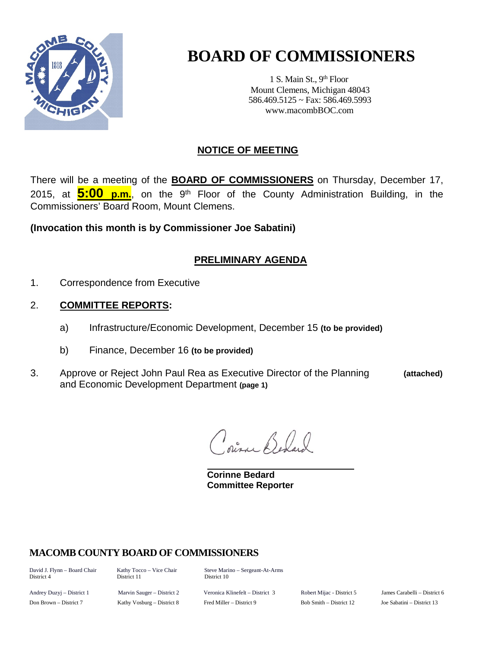

# **BOARD OF COMMISSIONERS**

1 S. Main St., 9<sup>th</sup> Floor Mount Clemens, Michigan 48043 586.469.5125 ~ Fax: 586.469.5993 www.macombBOC.com

## **NOTICE OF MEETING**

There will be a meeting of the **BOARD OF COMMISSIONERS** on Thursday, December 17, 2015, at **5:00 p.m.**, on the 9th Floor of the County Administration Building, in the Commissioners' Board Room, Mount Clemens.

**(Invocation this month is by Commissioner Joe Sabatini)**

## **PRELIMINARY AGENDA**

- 1. Correspondence from Executive
- 2. **COMMITTEE REPORTS:**
	- a) Infrastructure/Economic Development, December 15 **(to be provided)**
	- b) Finance, December 16 **(to be provided)**
- 3. Approve or Reject John Paul Rea as Executive Director of the Planning **(attached)** and Economic Development Department **(page 1)**

Direc Belger

**Corinne Bedard Committee Reporter**

### **MACOMB COUNTY BOARD OF COMMISSIONERS**

District 11

David J. Flynn – Board Chair Kathy Tocco – Vice Chair Steve Marino – Sergeant-At-Arms

Andrey Duzyj – District 1 Marvin Sauger – District 2 Veronica Klinefelt – District 3 Robert Mijac - District 5 James Carabelli – District 6 Don Brown – District 7 Kathy Vosburg – District 8 Fred Miller – District 9 Bob Smith – District 12 Joe Sabatini – District 13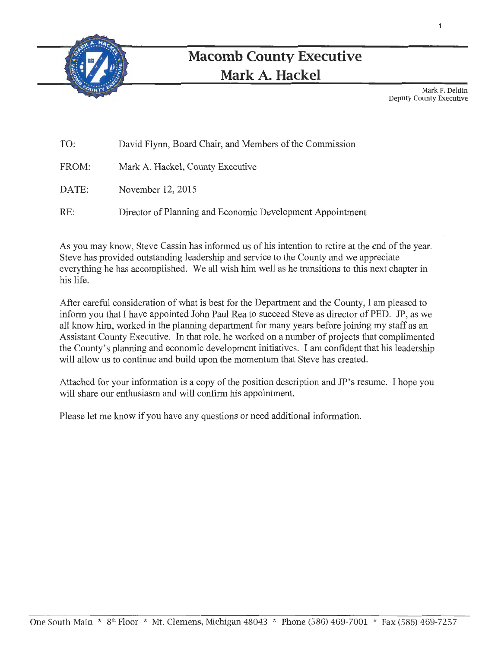

# **Macomb County Executive Mark A. Hackel**

Mark F. Deldin Deputy County Executive

1

| TO:   | David Flynn, Board Chair, and Members of the Commission   |
|-------|-----------------------------------------------------------|
| FROM: | Mark A. Hackel, County Executive                          |
| DATE: | November 12, 2015                                         |
| RE:   | Director of Planning and Economic Development Appointment |

As you may know, Steve Cassin has informed us of his intention to retire at the end of the year. Steve has provided outstanding leadership and service to the County and we appreciate everything he has accomplished. We all wish him well as he transitions to this next chapter in his life.

After careful consideration of what is best for the Department and the County, I am pleased to inform you that I have appointed John Paul Rea to succeed Steve as director of PED. JP, as we all know him, worked in the planning department for many years before joining my staff as an Assistant County Executive. In that role, he worked on a number of projects that complimented the County's planning and economic development initiatives. I am confident that his leadership will allow us to continue and build upon the momentum that Steve has created.

Attached for your information is a copy of the position description and JP's resume. I hope you will share our enthusiasm and will confirm his appointment.

Please let me know if you have any questions or need additional information.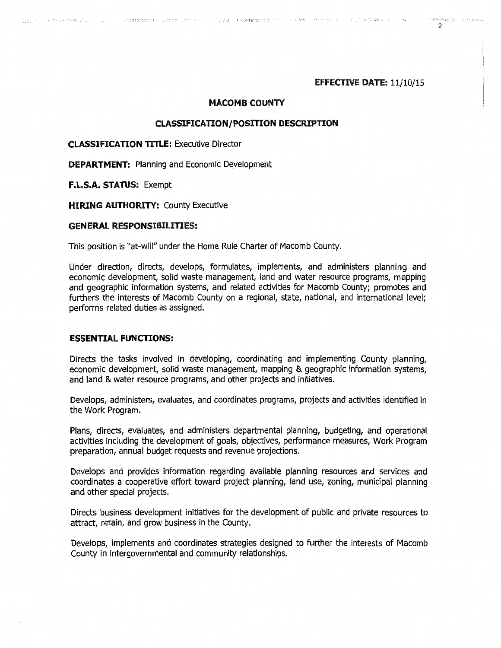#### EFFECTIVE DATE: 11/10/15

#### MACOMB COUNTY

CONTROLS TO THE RESEARCH CONTROL OF THE RELEASE OF THE RELEASE OF THE RELEASE OF THE RELEASE OF THE RELEASE OF

#### CLASSIFICATION/ POSITION DESCRIPTION

#### CLASSIFICATION TITLE: Executive Director

DEPARTMENT: Planning and Economic Development

F.L.S.A. STATUS: Exempt

Key Karl College Construction of the Application of

**HIRING AUTHORITY: County Executive** 

#### GENERAL RESPONSIBILITIES:

This position is "at-will" under the Home Rule Charter of Macomb County.

Under direction, directs, develops, formulates, implements, and administers planning and economic development, solid waste management, land and water resource programs, mapping and geographic information systems, and related activities for Macomb County; promotes and furthers the interests of Macomb County on a regional, state, national, and international level; performs related duties as assigned.

#### **ESSENTIAL FUNCTIONS:**

Directs the tasks involved in developing, coordinating and implementing County planning, economic development, solid waste management, mapping & geographic information systems, and land & water resource programs, and other projects and initiatives.

Develops, administers, evaluates, and coordinates programs, projects and activities identified in the Work Program.

Plans, directs, evaluates, and administers departmental planning, budgeting, and operational activities including the development of goals, objectives, performance measures, Work Program preparation, annual budget requests and revenue projections.

Develops and provides information regarding available planning resources and services and coordinates a cooperative effort toward project planning, land use, zoning, municipal planning and other special projects.

Directs business development initiatives for the development of public and private resources to attract, retain, and grow business in the County.

Develops, implements and coordinates strategies designed to further the interests of Macomb County in intergovernmental and community relationships.

 $\mathfrak{p}$ 

**CONTRACTOR** CONTRACTOR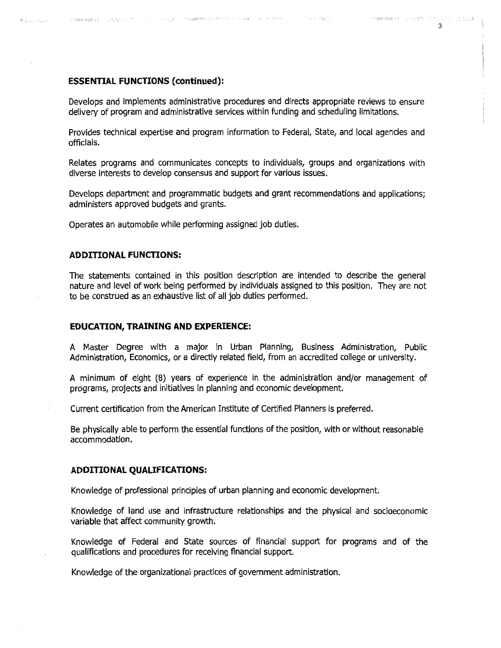#### ESSENTIAL FUNCTIONS (continued):

 $\label{eq:R1} \mathcal{P}^{\text{R}}(\mathcal{R}(\mathbf{X}|\mathbf{X}|\mathbf{X}|\mathbf{X}|\mathbf{X}|\mathbf{X}|\mathbf{X}|\mathbf{X}|\mathbf{X}|\mathbf{X}|\mathbf{X}|\mathbf{X}|\mathbf{X}|\mathbf{X}|\mathbf{X}|\mathbf{X}|\mathbf{X}|\mathbf{X}|\mathbf{X}|\mathbf{X}|\mathbf{X}|\mathbf{X}|\mathbf{X}|\mathbf{X}|\mathbf{X}|\mathbf{X}|\mathbf{X}|\mathbf{X}|\mathbf{X}|\mathbf{X}|\mathbf{X}|\mathbf{X}|\math$ 

**Brachmann** 

Develops and implements administrative procedures and directs appropriate reviews to ensure delivery of program and administrative services within funding and scheduling limitations.

 $\mathcal{O}(\mathcal{O}(\log n)$  ,  $\mathcal{O}(\log n)$ 

Provides technical expertise and program information to Federal, State, and local agencies and officials.

Relates programs and communicates concepts to individuals, groups and organizations with diverse interests to develop consensus and support for various issues.

Develops department and programmatic budgets and grant recommendations and applications; administers approved budgets and grants.

Operates an automobile while performing assigned job duties.

#### ADDITIONAL FUNCTIONS:

The statements contained in this position description are intended to describe the general nature and level of work being performed by individuals assigned to this position. They are not to be construed as an exhaustive list of all job duties performed.

#### **EDUCATION, TRAINING AND EXPERIENCE:**

A Master Degree with a major in Urban Planning, Business Administration, Public Administration, Economics, or a directly related field, from an accredited college or university.

A minimum of eight (8) years of experience in the administration and/or management of programs, projects and initiatives in planning and economic development.

Current certification from the American Institute of Certified Planners is preferred.

Be physically able to perform the essential functions of the position, with or without reasonable accommodation.

#### **ADDITIONAL QUALIFICATIONS:**

Knowledge of professional principles of urban planning and economic development.

Knowledge of land use and infrastructure relationships and the physical and socioeconomic variable that affect community growth.

Knowledge of Federal and State sources of financial support for programs and of the qualifications and procedures for receiving financial support.

Knowledge of the organizational practices of government administration.

3

regado español de la respectiva de la contra del 1999.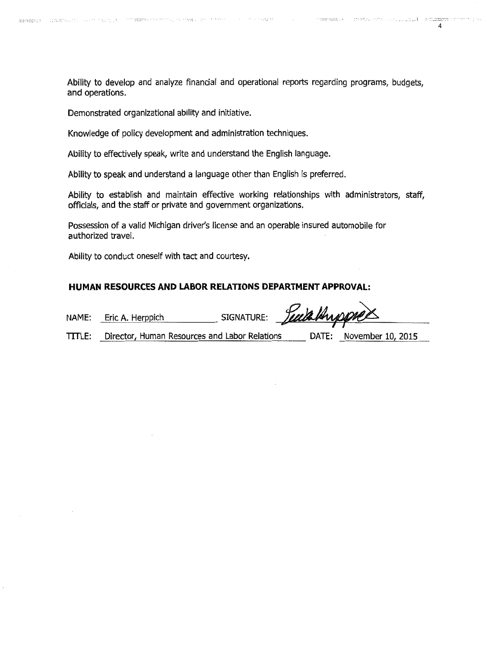**CONSTRANCE** 

**CONSTRUCTION** CONTROL CONTROL INTER**ERENT** 

Ability to develop and analyze financial and operational reports regarding programs, budgets, and operations.

a complete contracts

Demonstrated organizational ability and initiative.

Knowledge of policy development and administration techniques.

Ability to effectively speak, write and understand the English language.

Ability to speak and understand a language other than English is preferred.

Ability to establish and maintain effective working relationships with administrators, staff, officials, and the staff or private and government organizations.

Possession of a valid Michigan driver's license and an operable insured automobile for authorized travel.

#### HUMAN RESOURCES AND LABOR RELATIONS DEPARTMENT APPROVAL:

| Ability to conduct oneself with tact and courtesy.       |                                                      |                       |  |                         |  |  |  |
|----------------------------------------------------------|------------------------------------------------------|-----------------------|--|-------------------------|--|--|--|
| HUMAN RESOURCES AND LABOR RELATIONS DEPARTMENT APPROVAL: |                                                      |                       |  |                         |  |  |  |
|                                                          | NAME: Eric A. Herppich                               | SIGNATURE: Luis Huppe |  |                         |  |  |  |
|                                                          | TITLE: Director, Human Resources and Labor Relations |                       |  | DATE: November 10, 2015 |  |  |  |